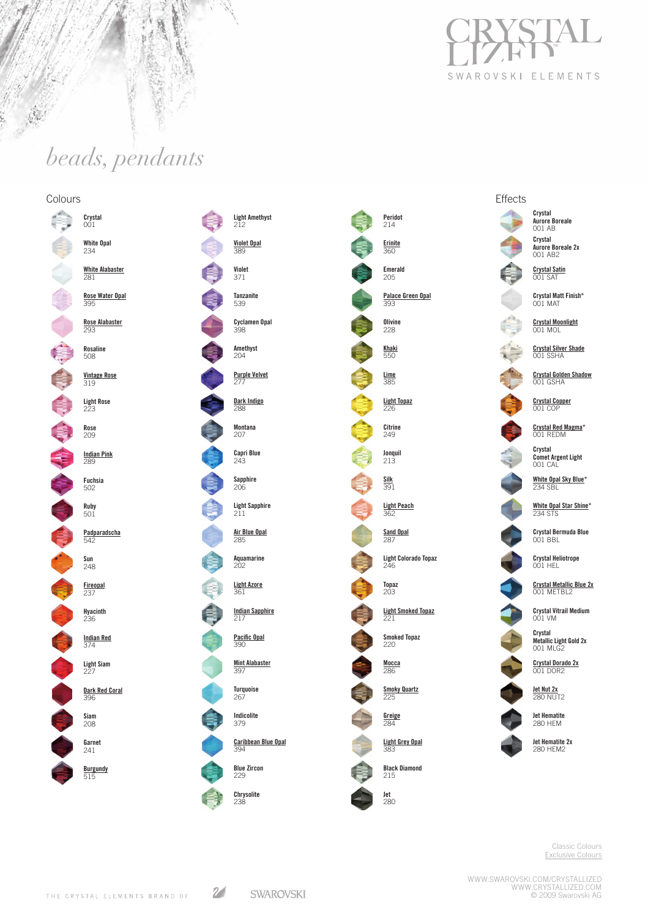

**Effects** 

# *beads, pendants*

inger<br>Ser  $\Delta$ 

**REACHERS** 

青

亙

### Colours

m.



Classic Colours Exclusive Colours